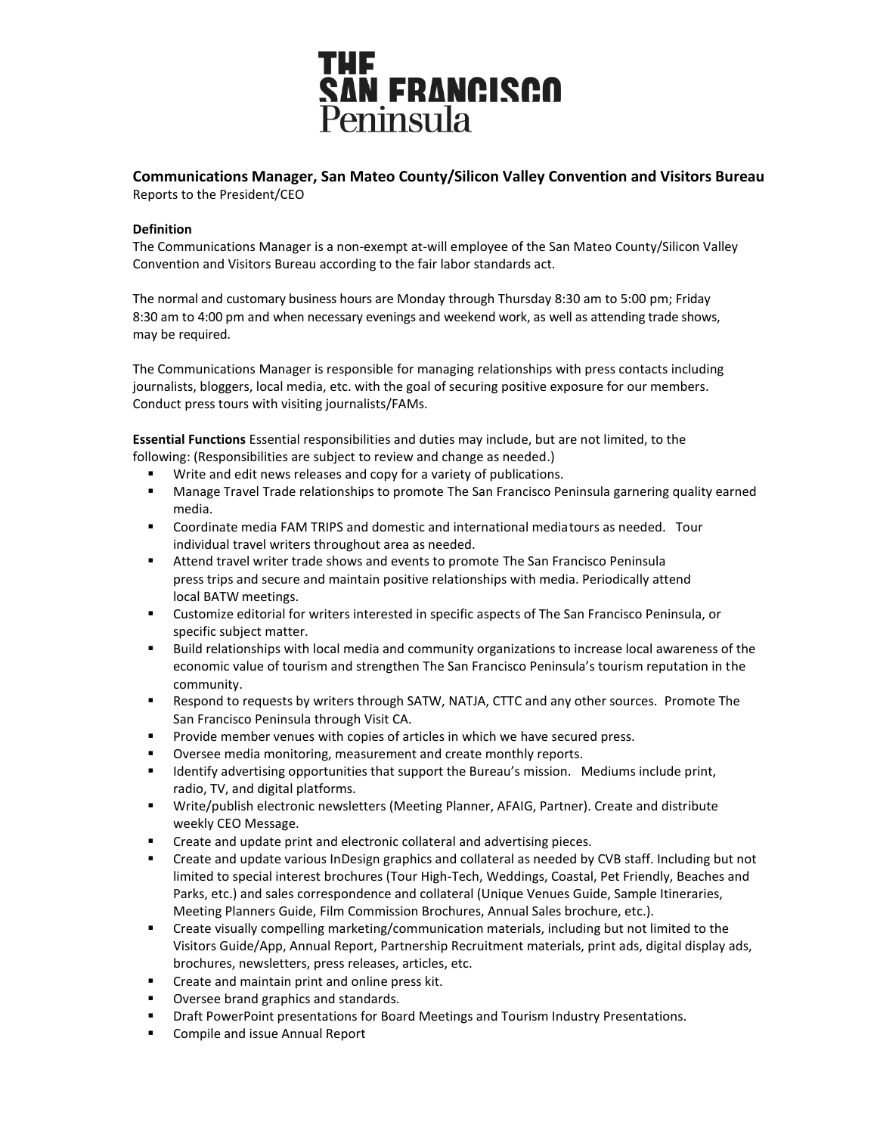

**Communications Manager, San Mateo County/Silicon Valley Convention and Visitors Bureau** Reports to the President/CEO

# **Definition**

The Communications Manager is a non-exempt at-will employee of the San Mateo County/Silicon Valley Convention and Visitors Bureau according to the fair labor standards act.

The normal and customary business hours are Monday through Thursday 8:30 am to 5:00 pm; Friday 8:30 am to 4:00 pm and when necessary evenings and weekend work, as well as attending trade shows, may be required.

The Communications Manager is responsible for managing relationships with press contacts including journalists, bloggers, local media, etc. with the goal of securing positive exposure for our members. Conduct press tours with visiting journalists/FAMs.

**Essential Functions** Essential responsibilities and duties may include, but are not limited, to the following: (Responsibilities are subject to review and change as needed.)

- Write and edit news releases and copy for a variety of publications.
- Manage Travel Trade relationships to promote The San Francisco Peninsula garnering quality earned media.
- Coordinate media FAM TRIPS and domestic and international mediatours as needed. Tour individual travel writers throughout area as needed.
- Attend travel writer trade shows and events to promote The San Francisco Peninsula press trips and secure and maintain positive relationships with media. Periodically attend local BATW meetings.
- Customize editorial for writers interested in specific aspects of The San Francisco Peninsula, or specific subject matter.
- Build relationships with local media and community organizations to increase local awareness of the economic value of tourism and strengthen The San Francisco Peninsula's tourism reputation in the community.
- Respond to requests by writers through SATW, NATJA, CTTC and any other sources. Promote The San Francisco Peninsula through Visit CA.
- Provide member venues with copies of articles in which we have secured press.
- Oversee media monitoring, measurement and create monthly reports.
- Identify advertising opportunities that support the Bureau's mission. Mediums include print, radio, TV, and digital platforms.
- Write/publish electronic newsletters (Meeting Planner, AFAIG, Partner). Create and distribute weekly CEO Message.
- Create and update print and electronic collateral and advertising pieces.
- Create and update various InDesign graphics and collateral as needed by CVB staff. Including but not limited to special interest brochures (Tour High-Tech, Weddings, Coastal, Pet Friendly, Beaches and Parks, etc.) and sales correspondence and collateral (Unique Venues Guide, Sample Itineraries, Meeting Planners Guide, Film Commission Brochures, Annual Sales brochure, etc.).
- Create visually compelling marketing/communication materials, including but not limited to the Visitors Guide/App, Annual Report, Partnership Recruitment materials, print ads, digital display ads, brochures, newsletters, press releases, articles, etc.
- Create and maintain print and online press kit.
- Oversee brand graphics and standards.
- Draft PowerPoint presentations for Board Meetings and Tourism Industry Presentations.
- Compile and issue Annual Report